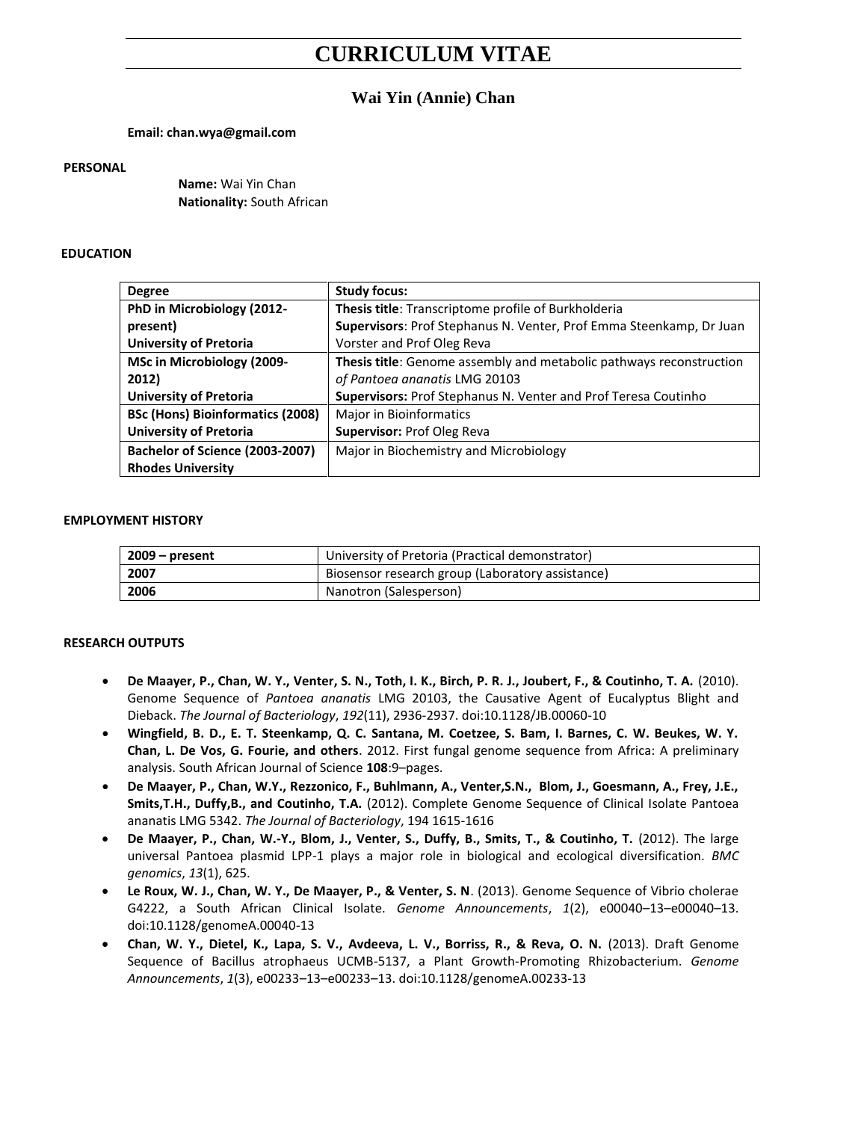# **CURRICULUM VITAE**

# **Wai Yin (Annie) Chan**

# **Email: chan.wya@gmail.com**

#### **PERSONAL**

**Name:** Wai Yin Chan **Nationality:** South African

# **EDUCATION**

| <b>Degree</b>                           | <b>Study focus:</b>                                                 |
|-----------------------------------------|---------------------------------------------------------------------|
| PhD in Microbiology (2012-              | Thesis title: Transcriptome profile of Burkholderia                 |
| present)                                | Supervisors: Prof Stephanus N. Venter, Prof Emma Steenkamp, Dr Juan |
| <b>University of Pretoria</b>           | Vorster and Prof Oleg Reva                                          |
| MSc in Microbiology (2009-              | Thesis title: Genome assembly and metabolic pathways reconstruction |
| 2012)                                   | of Pantoea ananatis LMG 20103                                       |
| <b>University of Pretoria</b>           | Supervisors: Prof Stephanus N. Venter and Prof Teresa Coutinho      |
| <b>BSc (Hons) Bioinformatics (2008)</b> | Major in Bioinformatics                                             |
| <b>University of Pretoria</b>           | Supervisor: Prof Oleg Reva                                          |
| Bachelor of Science (2003-2007)         | Major in Biochemistry and Microbiology                              |
| <b>Rhodes University</b>                |                                                                     |

# **EMPLOYMENT HISTORY**

| $2009 - present$ | University of Pretoria (Practical demonstrator)  |
|------------------|--------------------------------------------------|
| 2007             | Biosensor research group (Laboratory assistance) |
| 2006             | Nanotron (Salesperson)                           |

## **RESEARCH OUTPUTS**

- **De Maayer, P., Chan, W. Y., Venter, S. N., Toth, I. K., Birch, P. R. J., Joubert, F., & Coutinho, T. A.** (2010). Genome Sequence of *Pantoea ananatis* LMG 20103, the Causative Agent of Eucalyptus Blight and Dieback. *The Journal of Bacteriology*, *192*(11), 2936-2937. doi:10.1128/JB.00060-10
- **Wingfield, B. D., E. T. Steenkamp, Q. C. Santana, M. Coetzee, S. Bam, I. Barnes, C. W. Beukes, W. Y. Chan, L. De Vos, G. Fourie, and others**. 2012. First fungal genome sequence from Africa: A preliminary analysis. South African Journal of Science **108**:9–pages.
- **De Maayer, P., Chan, W.Y., Rezzonico, F., Buhlmann, A., Venter,S.N., Blom, J., Goesmann, A., Frey, J.E., Smits,T.H., Duffy,B., and Coutinho, T.A.** (2012). Complete Genome Sequence of Clinical Isolate Pantoea ananatis LMG 5342. *The Journal of Bacteriology*, 194 1615-1616
- **De Maayer, P., Chan, W.-Y., Blom, J., Venter, S., Duffy, B., Smits, T., & Coutinho, T.** (2012). The large universal Pantoea plasmid LPP-1 plays a major role in biological and ecological diversification. *BMC genomics*, *13*(1), 625.
- **Le Roux, W. J., Chan, W. Y., De Maayer, P., & Venter, S. N**. (2013). Genome Sequence of Vibrio cholerae G4222, a South African Clinical Isolate. *Genome Announcements*, *1*(2), e00040–13–e00040–13. doi:10.1128/genomeA.00040-13
- **Chan, W. Y., Dietel, K., Lapa, S. V., Avdeeva, L. V., Borriss, R., & Reva, O. N.** (2013). Draft Genome Sequence of Bacillus atrophaeus UCMB-5137, a Plant Growth-Promoting Rhizobacterium. *Genome Announcements*, *1*(3), e00233–13–e00233–13. doi:10.1128/genomeA.00233-13